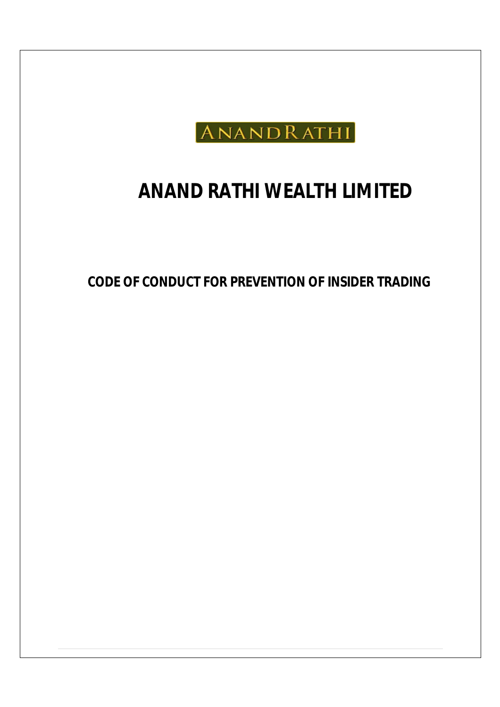

# **ANAND RATHI WEALTH LIMITED**

**CODE OF CONDUCT FOR PREVENTION OF INSIDER TRADING**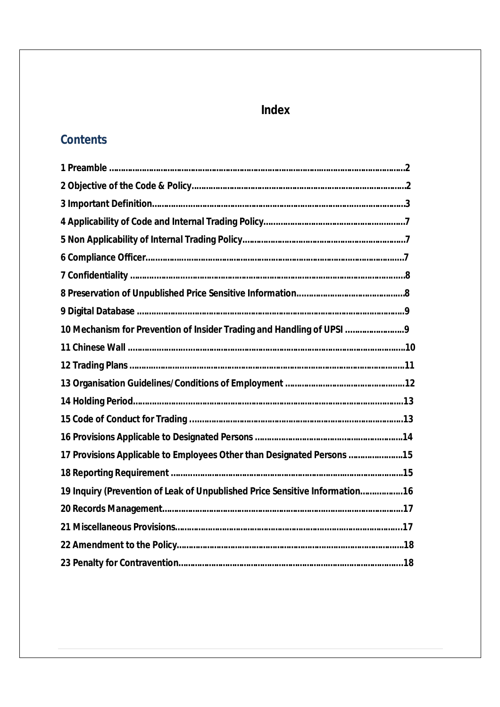# **Index**

# **Contents**

| 10 Mechanism for Prevention of Insider Trading and Handling of UPSI         |  |
|-----------------------------------------------------------------------------|--|
|                                                                             |  |
|                                                                             |  |
|                                                                             |  |
|                                                                             |  |
|                                                                             |  |
|                                                                             |  |
|                                                                             |  |
|                                                                             |  |
| 19 Inquiry (Prevention of Leak of Unpublished Price Sensitive Information16 |  |
|                                                                             |  |
|                                                                             |  |
|                                                                             |  |
|                                                                             |  |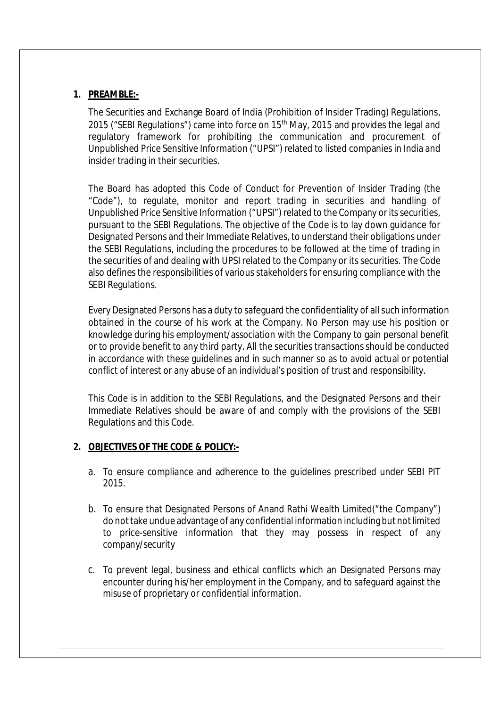# **1. PREAMBLE:-**

The Securities and Exchange Board of India (Prohibition of Insider Trading) Regulations, 2015 ("SEBI Regulations") came into force on 15<sup>th</sup> May, 2015 and provides the legal and regulatory framework for prohibiting the communication and procurement of Unpublished Price Sensitive Information ("UPSI") related to listed companies in India and insider trading in their securities.

The Board has adopted this Code of Conduct for Prevention of Insider Trading (the "Code"), to regulate, monitor and report trading in securities and handling of Unpublished Price Sensitive Information ("UPSI") related to the Company or its securities, pursuant to the SEBI Regulations. The objective of the Code is to lay down guidance for Designated Persons and their Immediate Relatives, to understand their obligations under the SEBI Regulations, including the procedures to be followed at the time of trading in the securities of and dealing with UPSI related to the Company or its securities. The Code also defines the responsibilities of various stakeholders for ensuring compliance with the SEBI Regulations.

Every Designated Persons has a duty to safeguard the confidentiality of all such information obtained in the course of his work at the Company. No Person may use his position or knowledge during his employment/association with the Company to gain personal benefit or to provide benefit to any third party. All the securities transactions should be conducted in accordance with these guidelines and in such manner so as to avoid actual or potential conflict of interest or any abuse of an individual's position of trust and responsibility.

This Code is in addition to the SEBI Regulations, and the Designated Persons and their Immediate Relatives should be aware of and comply with the provisions of the SEBI Regulations and this Code.

#### **2. OBJECTIVES OF THE CODE & POLICY:-**

- a. To ensure compliance and adherence to the guidelines prescribed under SEBI PIT 2015.
- b. To ensure that Designated Persons of Anand Rathi Wealth Limited("the Company") do not take undue advantage of any confidential information including but not limited to price-sensitive information that they may possess in respect of any company/security
- c. To prevent legal, business and ethical conflicts which an Designated Persons may encounter during his/her employment in the Company, and to safeguard against the misuse of proprietary or confidential information.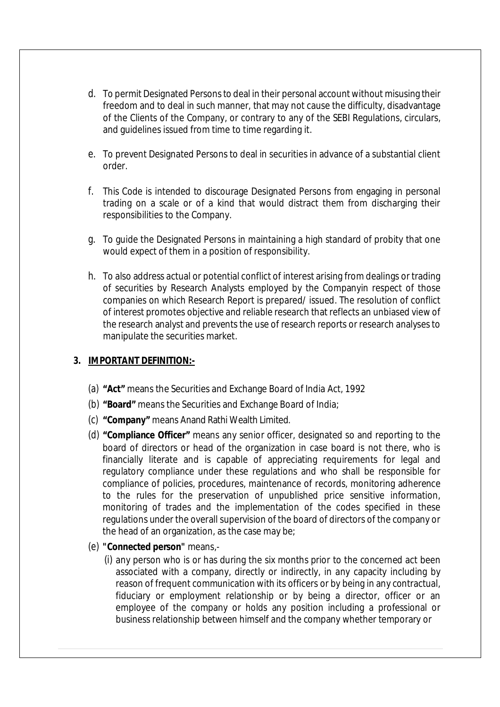- d. To permit Designated Persons to deal in their personal account without misusing their freedom and to deal in such manner, that may not cause the difficulty, disadvantage of the Clients of the Company, or contrary to any of the SEBI Regulations, circulars, and guidelines issued from time to time regarding it.
- e. To prevent Designated Persons to deal in securities in advance of a substantial client order.
- f. This Code is intended to discourage Designated Persons from engaging in personal trading on a scale or of a kind that would distract them from discharging their responsibilities to the Company.
- g. To guide the Designated Persons in maintaining a high standard of probity that one would expect of them in a position of responsibility.
- h. To also address actual or potential conflict of interest arising from dealings or trading of securities by Research Analysts employed by the Companyin respect of those companies on which Research Report is prepared/ issued. The resolution of conflict of interest promotes objective and reliable research that reflects an unbiased view of the research analyst and prevents the use of research reports or research analyses to manipulate the securities market.

#### **3. IMPORTANT DEFINITION:-**

- (a) **"Act"** means the Securities and Exchange Board of India Act, 1992
- (b) **"Board"** means the Securities and Exchange Board of India;
- (c) **"Company"** means Anand Rathi Wealth Limited.
- (d) **"Compliance Officer"** means any senior officer, designated so and reporting to the board of directors or head of the organization in case board is not there, who is financially literate and is capable of appreciating requirements for legal and regulatory compliance under these regulations and who shall be responsible for compliance of policies, procedures, maintenance of records, monitoring adherence to the rules for the preservation of unpublished price sensitive information, monitoring of trades and the implementation of the codes specified in these regulations under the overall supervision of the board of directors of the company or the head of an organization, as the case may be;
- (e) **"Connected person"** means,-
	- (i) any person who is or has during the six months prior to the concerned act been associated with a company, directly or indirectly, in any capacity including by reason of frequent communication with its officers or by being in any contractual, fiduciary or employment relationship or by being a director, officer or an employee of the company or holds any position including a professional or business relationship between himself and the company whether temporary or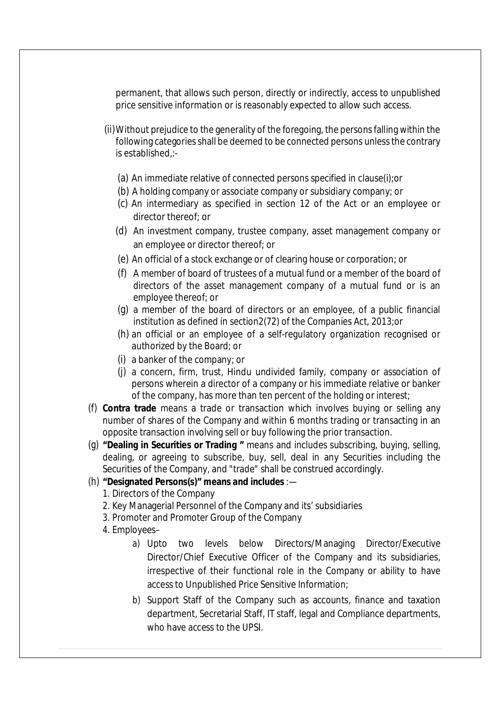permanent, that allows such person, directly or indirectly, access to unpublished price sensitive information or is reasonably expected to allow such access.

- (ii)Without prejudice to the generality of the foregoing, the persons falling within the following categories shall be deemed to be connected persons unless the contrary is established,:-
	- (a) An immediate relative of connected persons specified in clause(i);or
	- (b) A holding company or associate company or subsidiary company; or
	- (c) An intermediary as specified in section 12 of the Act or an employee or director thereof; or
	- (d) An investment company, trustee company, asset management company or an employee or director thereof; or
	- (e) An official of a stock exchange or of clearing house or corporation; or
	- (f) A member of board of trustees of a mutual fund or a member of the board of directors of the asset management company of a mutual fund or is an employee thereof; or
	- (g) a member of the board of directors or an employee, of a public financial institution as defined in section2(72) of the Companies Act, 2013;or
	- (h) an official or an employee of a self-regulatory organization recognised or authorized by the Board; or
	- (i) a banker of the company; or
	- (j) a concern, firm, trust, Hindu undivided family, company or association of persons wherein a director of a company or his immediate relative or banker of the company, has more than ten percent of the holding or interest;
- (f) **Contra trade** means a trade or transaction which involves buying or selling any number of shares of the Company and within 6 months trading or transacting in an opposite transaction involving sell or buy following the prior transaction.
- (g) **"Dealing in Securities or Trading "** means and includes subscribing, buying, selling, dealing, or agreeing to subscribe, buy, sell, deal in any Securities including the Securities of the Company, and "trade" shall be construed accordingly.

#### (h) **"Designated Persons(s)" means and includes** :—

- 1. Directors of the Company
- 2. Key Managerial Personnel of the Company and its' subsidiaries
- 3. Promoter and Promoter Group of the Company
- 4. Employees–
	- a) Upto two levels below Directors/Managing Director/Executive Director/Chief Executive Officer of the Company and its subsidiaries, irrespective of their functional role in the Company or ability to have access to Unpublished Price Sensitive Information;
	- b) Support Staff of the Company such as accounts, finance and taxation department, Secretarial Staff, IT staff, legal and Compliance departments, who have access to the UPSI.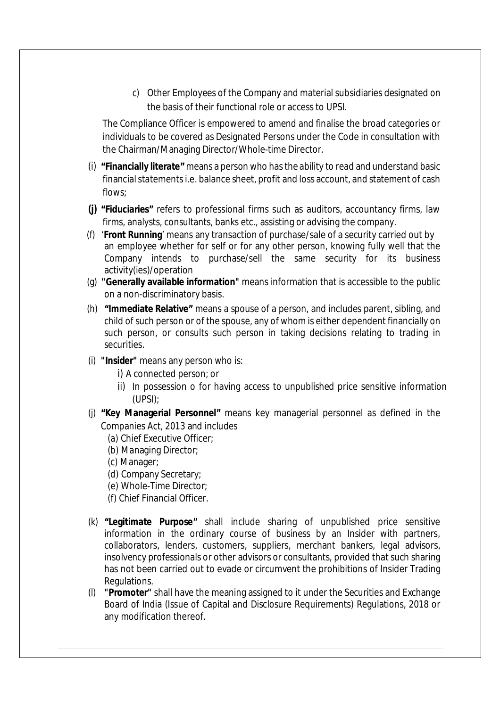c) Other Employees of the Company and material subsidiaries designated on the basis of their functional role or access to UPSI.

The Compliance Officer is empowered to amend and finalise the broad categories or individuals to be covered as Designated Persons under the Code in consultation with the Chairman/Managing Director/Whole-time Director.

- (i) **"Financially literate"** means a person who has the ability to read and understand basic financial statements i.e. balance sheet, profit and loss account, and statement of cash flows;
- **(j) "Fiduciaries"** refers to professional firms such as auditors, accountancy firms, law firms, analysts, consultants, banks etc., assisting or advising the company.
- (f) '**Front Running**' means any transaction of purchase/sale of a security carried out by an employee whether for self or for any other person, knowing fully well that the Company intends to purchase/sell the same security for its business activity(ies)/operation
- (g) **"Generally available information"** means information that is accessible to the public on a non-discriminatory basis.
- (h) **"Immediate Relative"** means a spouse of a person, and includes parent, sibling, and child of such person or of the spouse, any of whom is either dependent financially on such person, or consults such person in taking decisions relating to trading in securities.
- (i) **"Insider"** means any person who is:
	- i) A connected person; or
	- ii) In possession o for having access to unpublished price sensitive information (UPSI);
- (j) **"Key Managerial Personnel"** means key managerial personnel as defined in the Companies Act, 2013 and includes
	- (a) Chief Executive Officer;
	- (b) Managing Director;
	- (c) Manager;
	- (d) Company Secretary;
	- (e) Whole-Time Director;
	- (f) Chief Financial Officer.
- (k) **"Legitimate Purpose"** shall include sharing of unpublished price sensitive information in the ordinary course of business by an Insider with partners, collaborators, lenders, customers, suppliers, merchant bankers, legal advisors, insolvency professionals or other advisors or consultants, provided that such sharing has not been carried out to evade or circumvent the prohibitions of Insider Trading Regulations.
- (l) **"Promoter"** shall have the meaning assigned to it under the Securities and Exchange Board of India (Issue of Capital and Disclosure Requirements) Regulations, 2018 or any modification thereof.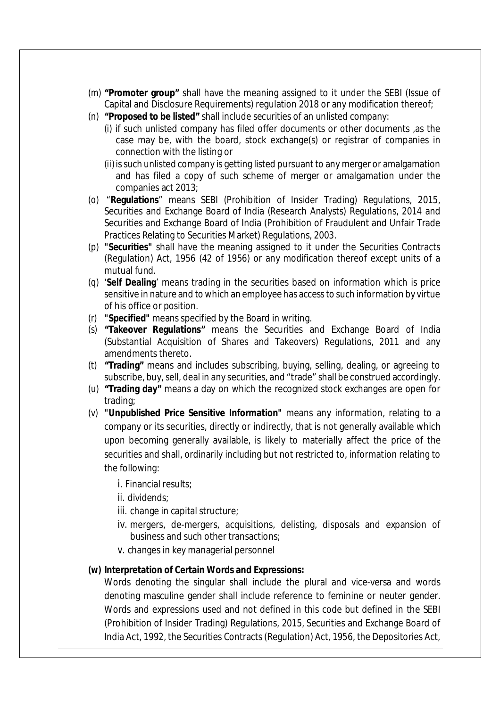- (m) **"Promoter group"** shall have the meaning assigned to it under the SEBI (Issue of Capital and Disclosure Requirements) regulation 2018 or any modification thereof;
- (n) **"Proposed to be listed"** shall include securities of an unlisted company:
	- (i) if such unlisted company has filed offer documents or other documents ,as the case may be, with the board, stock exchange(s) or registrar of companies in connection with the listing or
	- (ii) is such unlisted company is getting listed pursuant to any merger or amalgamation and has filed a copy of such scheme of merger or amalgamation under the companies act 2013;
- (o) "**Regulations**" means SEBI (Prohibition of Insider Trading) Regulations, 2015, Securities and Exchange Board of India (Research Analysts) Regulations, 2014 and Securities and Exchange Board of India (Prohibition of Fraudulent and Unfair Trade Practices Relating to Securities Market) Regulations, 2003.
- (p) **"Securities"** shall have the meaning assigned to it under the Securities Contracts (Regulation) Act, 1956 (42 of 1956) or any modification thereof except units of a mutual fund.
- (q) '**Self Dealing**' means trading in the securities based on information which is price sensitive in nature and to which an employee has access to such information by virtue of his office or position.
- (r) **"Specified"** means specified by the Board in writing.
- (s) **"Takeover Regulations"** means the Securities and Exchange Board of India (Substantial Acquisition of Shares and Takeovers) Regulations, 2011 and any amendments thereto.
- (t) **"Trading"** means and includes subscribing, buying, selling, dealing, or agreeing to subscribe, buy, sell, deal in any securities, and "trade" shall be construed accordingly.
- (u) **"Trading day"** means a day on which the recognized stock exchanges are open for trading;
- (v) **"Unpublished Price Sensitive Information"** means any information, relating to a company or its securities, directly or indirectly, that is not generally available which upon becoming generally available, is likely to materially affect the price of the securities and shall, ordinarily including but not restricted to, information relating to the following:
	- i. Financial results;
	- ii. dividends;
	- iii. change in capital structure;
	- iv. mergers, de-mergers, acquisitions, delisting, disposals and expansion of business and such other transactions;
	- v. changes in key managerial personnel

#### **(w) Interpretation of Certain Words and Expressions:**

Words denoting the singular shall include the plural and vice-versa and words denoting masculine gender shall include reference to feminine or neuter gender. Words and expressions used and not defined in this code but defined in the SEBI (Prohibition of Insider Trading) Regulations, 2015, Securities and Exchange Board of India Act, 1992, the Securities Contracts (Regulation) Act, 1956, the Depositories Act,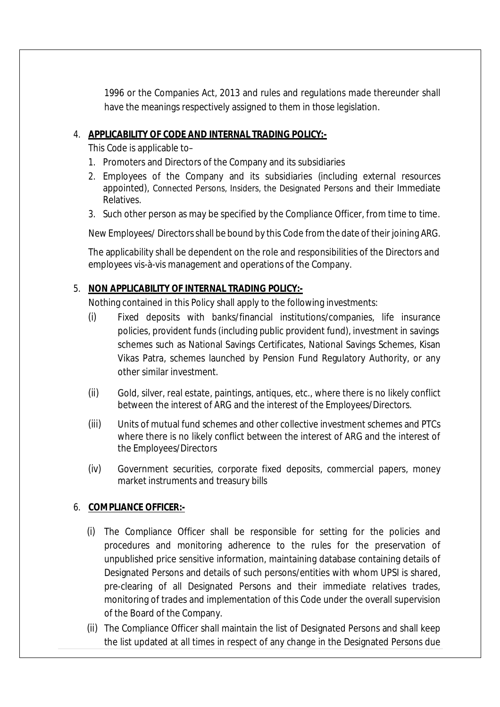1996 or the Companies Act, 2013 and rules and regulations made thereunder shall have the meanings respectively assigned to them in those legislation.

# 4. **APPLICABILITY OF CODE AND INTERNAL TRADING POLICY:-**

This Code is applicable to–

- 1. Promoters and Directors of the Company and its subsidiaries
- 2. Employees of the Company and its subsidiaries (including external resources appointed), Connected Persons, Insiders, the Designated Persons and their Immediate Relatives.
- 3. Such other person as may be specified by the Compliance Officer, from time to time.

New Employees/ Directorsshall be bound by this Code from the date of their joining ARG.

The applicability shall be dependent on the role and responsibilities of the Directors and employees vis-à-vis management and operations of the Company.

# 5. **NON APPLICABILITY OF INTERNAL TRADING POLICY:-**

Nothing contained in this Policy shall apply to the following investments:

- (i) Fixed deposits with banks/financial institutions/companies, life insurance policies, provident funds (including public provident fund), investment in savings schemes such as National Savings Certificates, National Savings Schemes, Kisan Vikas Patra, schemes launched by Pension Fund Regulatory Authority, or any other similar investment.
- (ii) Gold, silver, real estate, paintings, antiques, etc., where there is no likely conflict between the interest of ARG and the interest of the Employees/Directors.
- (iii) Units of mutual fund schemes and other collective investment schemes and PTCs where there is no likely conflict between the interest of ARG and the interest of the Employees/Directors
- (iv) Government securities, corporate fixed deposits, commercial papers, money market instruments and treasury bills

# 6. **COMPLIANCE OFFICER:-**

- (i) The Compliance Officer shall be responsible for setting for the policies and procedures and monitoring adherence to the rules for the preservation of unpublished price sensitive information, maintaining database containing details of Designated Persons and details of such persons/entities with whom UPSI is shared, pre-clearing of all Designated Persons and their immediate relatives trades, monitoring of trades and implementation of this Code under the overall supervision of the Board of the Company.
- (ii) The Compliance Officer shall maintain the list of Designated Persons and shall keep the list updated at all times in respect of any change in the Designated Persons due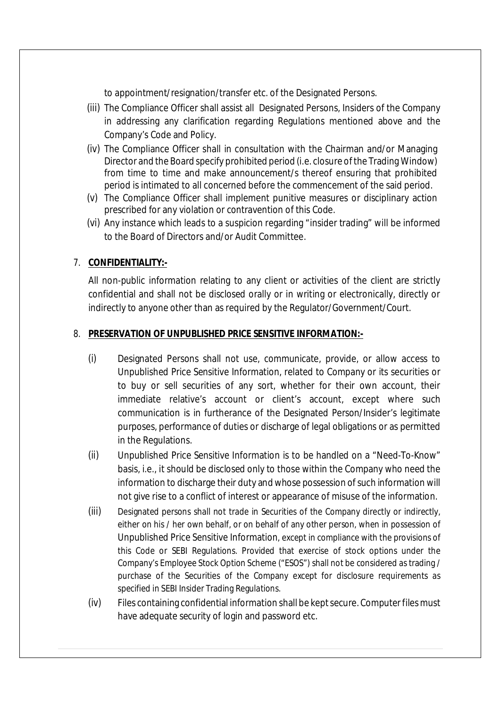to appointment/resignation/transfer etc. of the Designated Persons.

- (iii) The Compliance Officer shall assist all Designated Persons, Insiders of the Company in addressing any clarification regarding Regulations mentioned above and the Company's Code and Policy.
- (iv) The Compliance Officer shall in consultation with the Chairman and/or Managing Director and the Board specify prohibited period (i.e. closure of the Trading Window) from time to time and make announcement/s thereof ensuring that prohibited period is intimated to all concerned before the commencement of the said period.
- (v) The Compliance Officer shall implement punitive measures or disciplinary action prescribed for any violation or contravention of this Code.
- (vi) Any instance which leads to a suspicion regarding "insider trading" will be informed to the Board of Directors and/or Audit Committee.

#### 7. **CONFIDENTIALITY:-**

All non-public information relating to any client or activities of the client are strictly confidential and shall not be disclosed orally or in writing or electronically, directly or indirectly to anyone other than as required by the Regulator/Government/Court.

#### 8. **PRESERVATION OF UNPUBLISHED PRICE SENSITIVE INFORMATION:-**

- (i) Designated Persons shall not use, communicate, provide, or allow access to Unpublished Price Sensitive Information, related to Company or its securities or to buy or sell securities of any sort, whether for their own account, their immediate relative's account or client's account, except where such communication is in furtherance of the Designated Person/Insider's legitimate purposes, performance of duties or discharge of legal obligations or as permitted in the Regulations.
- (ii) Unpublished Price Sensitive Information is to be handled on a "Need-To-Know" basis, i.e., it should be disclosed only to those within the Company who need the information to discharge their duty and whose possession of such information will not give rise to a conflict of interest or appearance of misuse of the information.
- (iii) Designated persons shall not trade in Securities of the Company directly or indirectly, either on his / her own behalf, or on behalf of any other person, when in possession of Unpublished Price Sensitive Information, except in compliance with the provisions of this Code or SEBI Regulations. Provided that exercise of stock options under the Company's Employee Stock Option Scheme ("ESOS") shall not be considered as trading / purchase of the Securities of the Company except for disclosure requirements as specified in SEBI Insider Trading Regulations.
- (iv) Files containing confidential information shall be kept secure. Computer filesmust have adequate security of login and password etc.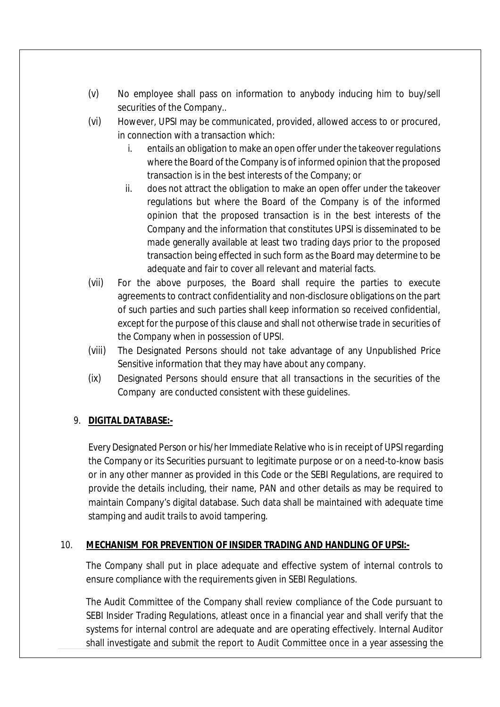- (v) No employee shall pass on information to anybody inducing him to buy/sell securities of the Company..
- (vi) However, UPSI may be communicated, provided, allowed access to or procured, in connection with a transaction which:
	- i. entails an obligation to make an open offer under the takeover regulations where the Board of the Company is of informed opinion that the proposed transaction is in the best interests of the Company; or
	- ii. does not attract the obligation to make an open offer under the takeover regulations but where the Board of the Company is of the informed opinion that the proposed transaction is in the best interests of the Company and the information that constitutes UPSI is disseminated to be made generally available at least two trading days prior to the proposed transaction being effected in such form as the Board may determine to be adequate and fair to cover all relevant and material facts.
- (vii) For the above purposes, the Board shall require the parties to execute agreements to contract confidentiality and non-disclosure obligations on the part of such parties and such parties shall keep information so received confidential, except for the purpose of this clause and shall not otherwise trade in securities of the Company when in possession of UPSI.
- (viii) The Designated Persons should not take advantage of any Unpublished Price Sensitive information that they may have about any company.
- (ix) Designated Persons should ensure that all transactions in the securities of the Company are conducted consistent with these guidelines.

# 9. **DIGITAL DATABASE:-**

Every Designated Person or his/her Immediate Relative who is in receipt of UPSI regarding the Company or its Securities pursuant to legitimate purpose or on a need-to-know basis or in any other manner as provided in this Code or the SEBI Regulations, are required to provide the details including, their name, PAN and other details as may be required to maintain Company's digital database. Such data shall be maintained with adequate time stamping and audit trails to avoid tampering.

# 10. **MECHANISM FOR PREVENTION OF INSIDER TRADING AND HANDLING OF UPSI:-**

The Company shall put in place adequate and effective system of internal controls to ensure compliance with the requirements given in SEBI Regulations.

The Audit Committee of the Company shall review compliance of the Code pursuant to SEBI Insider Trading Regulations, atleast once in a financial year and shall verify that the systems for internal control are adequate and are operating effectively. Internal Auditor shall investigate and submit the report to Audit Committee once in a year assessing the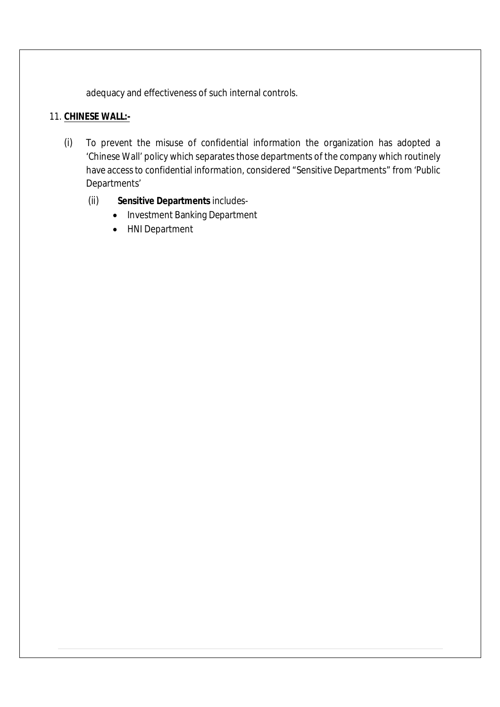adequacy and effectiveness of such internal controls.

# 11. **CHINESE WALL:-**

- (i) To prevent the misuse of confidential information the organization has adopted a 'Chinese Wall' policy which separates those departments of the company which routinely have access to confidential information, considered "Sensitive Departments" from 'Public Departments'
	- (ii) **Sensitive Departments** includes-
		- Investment Banking Department
		- HNI Department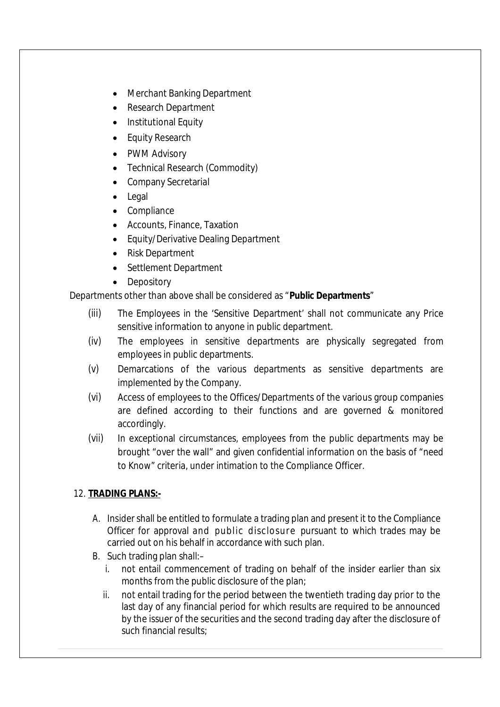- Merchant Banking Department
- Research Department
- Institutional Equity
- Equity Research
- PWM Advisory
- Technical Research (Commodity)
- Company Secretarial
- Legal
- Compliance
- Accounts, Finance, Taxation
- Equity/Derivative Dealing Department
- Risk Department
- Settlement Department
- Depository

Departments other than above shall be considered as "**Public Departments**"

- (iii) The Employees in the 'Sensitive Department' shall not communicate any Price sensitive information to anyone in public department.
- (iv) The employees in sensitive departments are physically segregated from employees in public departments.
- (v) Demarcations of the various departments as sensitive departments are implemented by the Company.
- (vi) Access of employees to the Offices/Departments of the various group companies are defined according to their functions and are governed & monitored accordingly.
- (vii) In exceptional circumstances, employees from the public departments may be brought "over the wall" and given confidential information on the basis of "need to Know" criteria, under intimation to the Compliance Officer.

# 12. **TRADING PLANS:-**

- A. Insider shall be entitled to formulate a trading plan and present it to the Compliance Officer for approval and public disclosure pursuant to which trades may be carried out on his behalf in accordance with such plan.
- B. Such trading plan shall:–
	- i. not entail commencement of trading on behalf of the insider earlier than six months from the public disclosure of the plan;
	- ii. not entail trading for the period between the twentieth trading day prior to the last day of any financial period for which results are required to be announced by the issuer of the securities and the second trading day after the disclosure of such financial results;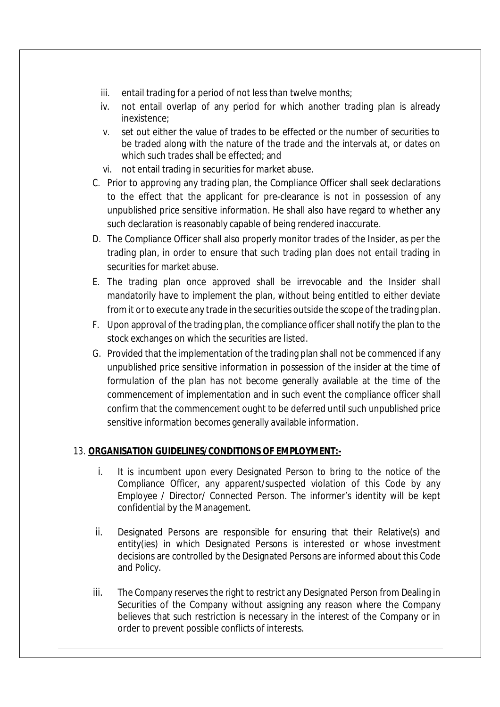- iii. entail trading for a period of not less than twelve months;
- iv. not entail overlap of any period for which another trading plan is already inexistence;
- v. set out either the value of trades to be effected or the number of securities to be traded along with the nature of the trade and the intervals at, or dates on which such trades shall be effected; and
- vi. not entail trading in securities for market abuse.
- C. Prior to approving any trading plan, the Compliance Officer shall seek declarations to the effect that the applicant for pre-clearance is not in possession of any unpublished price sensitive information. He shall also have regard to whether any such declaration is reasonably capable of being rendered inaccurate.
- D. The Compliance Officer shall also properly monitor trades of the Insider, as per the trading plan, in order to ensure that such trading plan does not entail trading in securities for market abuse.
- E. The trading plan once approved shall be irrevocable and the Insider shall mandatorily have to implement the plan, without being entitled to either deviate from it or to execute any trade in the securities outside the scope of the trading plan.
- F. Upon approval of the trading plan, the compliance officer shall notify the plan to the stock exchanges on which the securities are listed.
- G. Provided that the implementation of the trading plan shall not be commenced if any unpublished price sensitive information in possession of the insider at the time of formulation of the plan has not become generally available at the time of the commencement of implementation and in such event the compliance officer shall confirm that the commencement ought to be deferred until such unpublished price sensitive information becomes generally available information.

# 13. **ORGANISATION GUIDELINES/CONDITIONS OF EMPLOYMENT:-**

- i. It is incumbent upon every Designated Person to bring to the notice of the Compliance Officer, any apparent/suspected violation of this Code by any Employee / Director/ Connected Person. The informer's identity will be kept confidential by the Management.
- ii. Designated Persons are responsible for ensuring that their Relative(s) and entity(ies) in which Designated Persons is interested or whose investment decisions are controlled by the Designated Persons are informed about this Code and Policy.
- iii. The Company reserves the right to restrict any Designated Person from Dealing in Securities of the Company without assigning any reason where the Company believes that such restriction is necessary in the interest of the Company or in order to prevent possible conflicts of interests.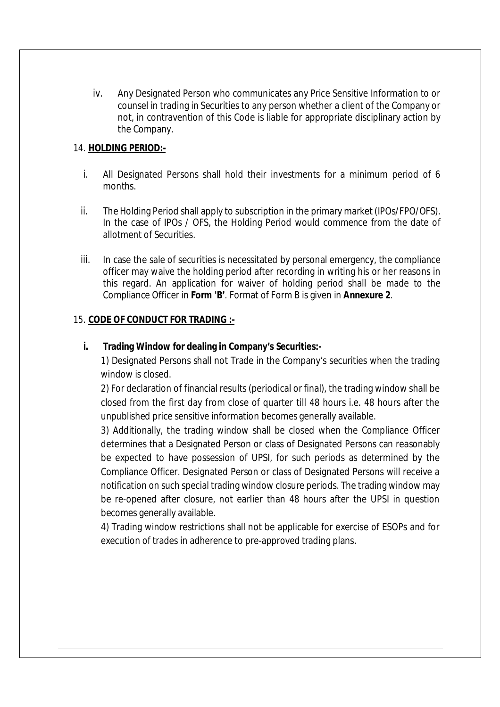iv. Any Designated Person who communicates any Price Sensitive Information to or counsel in trading in Securities to any person whether a client of the Company or not, in contravention of this Code is liable for appropriate disciplinary action by the Company.

#### 14. **HOLDING PERIOD:-**

- i. All Designated Persons shall hold their investments for a minimum period of 6 months.
- ii. The Holding Period shall apply to subscription in the primary market (IPOs/FPO/OFS). In the case of IPOs / OFS, the Holding Period would commence from the date of allotment of Securities.
- iii. In case the sale of securities is necessitated by personal emergency, the compliance officer may waive the holding period after recording in writing his or her reasons in this regard. An application for waiver of holding period shall be made to the Compliance Officer in **Form 'B'**. Format of Form B is given in **Annexure 2**.

#### 15. **CODE OF CONDUCT FOR TRADING :-**

#### **i. Trading Window for dealing in Company's Securities:-**

1) Designated Persons shall not Trade in the Company's securities when the trading window is closed.

2) For declaration of financial results (periodical or final), the trading window shall be closed from the first day from close of quarter till 48 hours i.e. 48 hours after the unpublished price sensitive information becomes generally available.

3) Additionally, the trading window shall be closed when the Compliance Officer determines that a Designated Person or class of Designated Persons can reasonably be expected to have possession of UPSI, for such periods as determined by the Compliance Officer. Designated Person or class of Designated Persons will receive a notification on such special trading window closure periods. The trading window may be re-opened after closure, not earlier than 48 hours after the UPSI in question becomes generally available.

4) Trading window restrictions shall not be applicable for exercise of ESOPs and for execution of trades in adherence to pre-approved trading plans.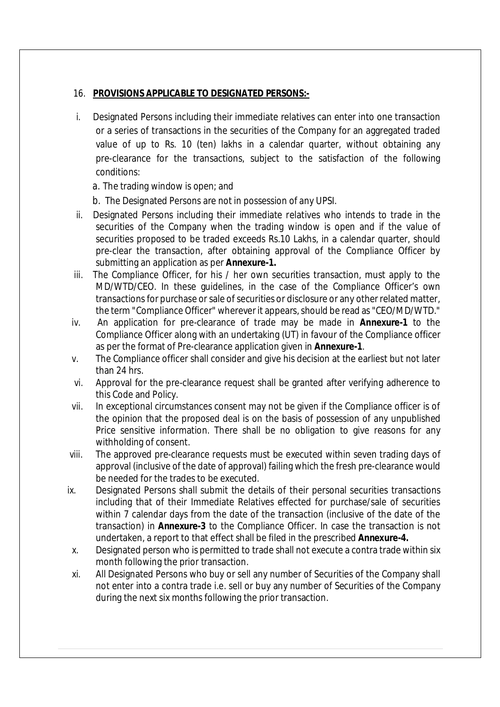#### 16. **PROVISIONS APPLICABLE TO DESIGNATED PERSONS:-**

- i. Designated Persons including their immediate relatives can enter into one transaction or a series of transactions in the securities of the Company for an aggregated traded value of up to Rs. 10 (ten) lakhs in a calendar quarter, without obtaining any pre-clearance for the transactions, subject to the satisfaction of the following conditions:
	- a. The trading window is open; and
	- b. The Designated Persons are not in possession of any UPSI.
- ii. Designated Persons including their immediate relatives who intends to trade in the securities of the Company when the trading window is open and if the value of securities proposed to be traded exceeds Rs.10 Lakhs, in a calendar quarter, should pre-clear the transaction, after obtaining approval of the Compliance Officer by submitting an application as per **Annexure-1.**
- iii. The Compliance Officer, for his / her own securities transaction, must apply to the MD/WTD/CEO. In these guidelines, in the case of the Compliance Officer's own transactions for purchase or sale of securities or disclosure or any other related matter, the term "Compliance Officer" whereverit appears,should be read as "CEO/MD/WTD."
- iv. An application for pre-clearance of trade may be made in **Annexure-1** to the Compliance Officer along with an undertaking (UT) in favour of the Compliance officer as per the format of Pre-clearance application given in **Annexure-1**.
- v. The Compliance officer shall consider and give his decision at the earliest but not later than 24 hrs.
- vi. Approval for the pre-clearance request shall be granted after verifying adherence to this Code and Policy.
- vii. In exceptional circumstances consent may not be given if the Compliance officer is of the opinion that the proposed deal is on the basis of possession of any unpublished Price sensitive information. There shall be no obligation to give reasons for any withholding of consent.
- viii. The approved pre-clearance requests must be executed within seven trading days of approval (inclusive of the date of approval) failing which the fresh pre-clearance would be needed for the trades to be executed.
- ix. Designated Persons shall submit the details of their personal securities transactions including that of their Immediate Relatives effected for purchase/sale of securities within 7 calendar days from the date of the transaction (inclusive of the date of the transaction) in **Annexure-3** to the Compliance Officer. In case the transaction is not undertaken, a report to that effect shall be filed in the prescribed **Annexure-4.**
- x. Designated person who is permitted to trade shall not execute a contra trade within six month following the prior transaction.
- xi. All Designated Persons who buy or sell any number of Securities of the Company shall not enter into a contra trade i.e. sell or buy any number of Securities of the Company during the next six months following the prior transaction.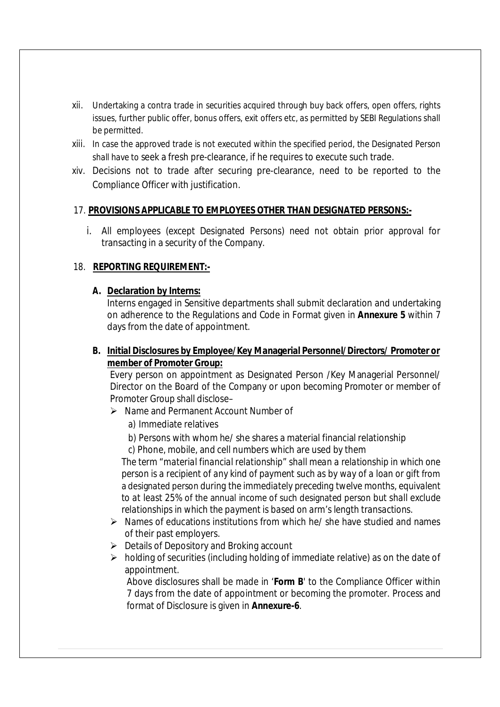- xii. Undertaking a contra trade in securities acquired through buy back offers, open offers, rights issues, further public offer, bonus offers, exit offers etc, as permitted by SEBI Regulations shall be permitted.
- xiii. In case the approved trade is not executed within the specified period, the Designated Person shall have to seek a fresh pre-clearance, if he requires to execute such trade.
- xiv. Decisions not to trade after securing pre-clearance, need to be reported to the Compliance Officer with justification.

#### 17. **PROVISIONS APPLICABLE TO EMPLOYEES OTHER THAN DESIGNATED PERSONS:-**

i. All employees (except Designated Persons) need not obtain prior approval for transacting in a security of the Company.

#### 18. **REPORTING REQUIREMENT:-**

#### **A. Declaration by Interns:**

Interns engaged in Sensitive departments shall submit declaration and undertaking on adherence to the Regulations and Code in Format given in **Annexure 5** within 7 days from the date of appointment.

# **B. Initial Disclosures by Employee/Key Managerial Personnel/Directors/ Promoter or member of Promoter Group:**

Every person on appointment as Designated Person /Key Managerial Personnel/ Director on the Board of the Company or upon becoming Promoter or member of Promoter Group shall disclose–

- Name and Permanent Account Number of
	- a) Immediate relatives
	- b) Persons with whom he/ she shares a material financial relationship
	- c) Phone, mobile, and cell numbers which are used by them

*The term "material financial relationship" shall mean a relationship in which one person is a recipient of any kind of payment such as by way of a loan or gift* from a designated person *during the immediately preceding twelve months, equivalent to at least 25%* of the annual income of such designated person *but shall exclude relationships in which the payment is based on arm's length transactions.*

- $\triangleright$  Names of educations institutions from which he/ she have studied and names of their past employers.
- $\triangleright$  Details of Depository and Broking account
- $\triangleright$  holding of securities (including holding of immediate relative) as on the date of appointment.

Above disclosures shall be made in '**Form B**' to the Compliance Officer within 7 days from the date of appointment or becoming the promoter. Process and format of Disclosure is given in **Annexure-6**.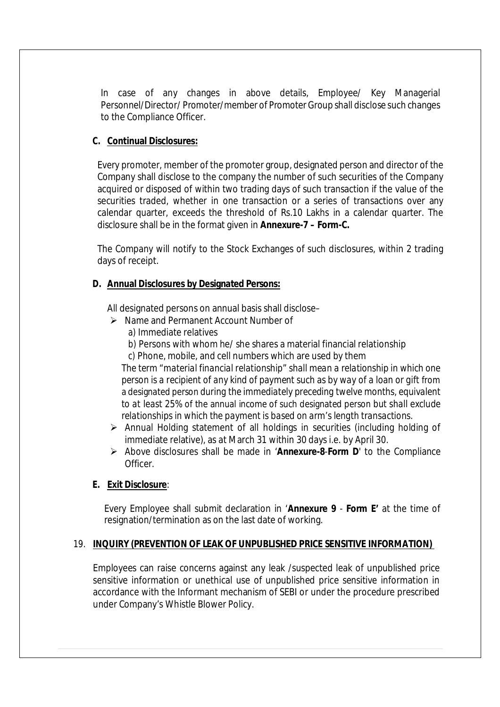In case of any changes in above details, Employee/ Key Managerial Personnel/Director/ Promoter/member of Promoter Group shall disclose such changes to the Compliance Officer.

#### **C. Continual Disclosures:**

Every promoter, member of the promoter group, designated person and director of the Company shall disclose to the company the number of such securities of the Company acquired or disposed of within two trading days of such transaction if the value of the securities traded, whether in one transaction or a series of transactions over any calendar quarter, exceeds the threshold of Rs.10 Lakhs in a calendar quarter. The disclosure shall be in the format given in **Annexure-7 – Form-C.**

The Company will notify to the Stock Exchanges of such disclosures, within 2 trading days of receipt.

#### **D. Annual Disclosures by Designated Persons:**

All designated persons on annual basis shall disclose–

- $\triangleright$  Name and Permanent Account Number of
	- a) Immediate relatives
	- b) Persons with whom he/ she shares a material financial relationship
	- c) Phone, mobile, and cell numbers which are used by them

*The term "material financial relationship" shall mean a relationship in which one person is a recipient of any kind of payment such as by way of a loan or gift* from a designated person *during the immediately preceding twelve months, equivalent to at least 25%* of the annual income of such designated person *but shall exclude relationships in which the payment is based on arm's length transactions.*

- Annual Holding statement of all holdings in securities (including holding of immediate relative), as at March 31 within 30 days i.e. by April 30.
- Above disclosures shall be made in '**Annexure-8**-**Form D**' to the Compliance Officer.

#### **E. Exit Disclosure**:

Every Employee shall submit declaration in '**Annexure 9** - **Form E'** at the time of resignation/termination as on the last date of working.

#### 19. **INQUIRY (PREVENTION OF LEAK OF UNPUBLISHED PRICE SENSITIVE INFORMATION)**

Employees can raise concerns against any leak /suspected leak of unpublished price sensitive information or unethical use of unpublished price sensitive information in accordance with the Informant mechanism of SEBI or under the procedure prescribed under Company's Whistle Blower Policy.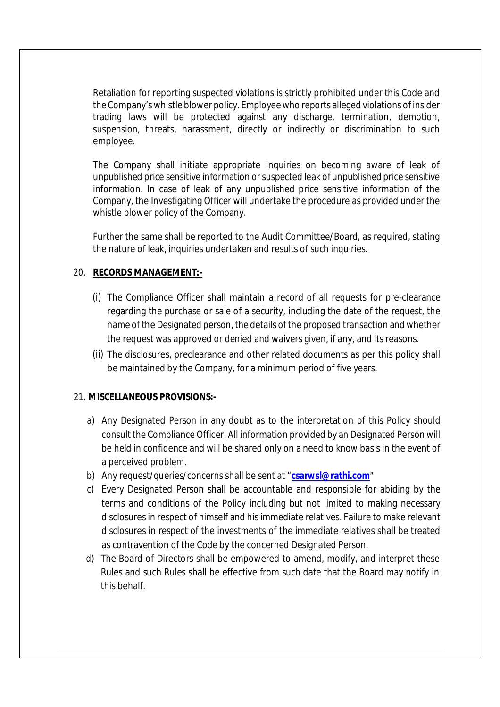Retaliation for reporting suspected violations is strictly prohibited under this Code and the Company's whistle blower policy. Employee who reports alleged violations of insider trading laws will be protected against any discharge, termination, demotion, suspension, threats, harassment, directly or indirectly or discrimination to such employee.

The Company shall initiate appropriate inquiries on becoming aware of leak of unpublished price sensitive information or suspected leak of unpublished price sensitive information. In case of leak of any unpublished price sensitive information of the Company, the Investigating Officer will undertake the procedure as provided under the whistle blower policy of the Company.

Further the same shall be reported to the Audit Committee/Board, as required, stating the nature of leak, inquiries undertaken and results of such inquiries.

#### 20. **RECORDS MANAGEMENT:-**

- (i) The Compliance Officer shall maintain a record of all requests for pre-clearance regarding the purchase or sale of a security, including the date of the request, the name of the Designated person, the details of the proposed transaction and whether the request was approved or denied and waivers given, if any, and its reasons.
- (ii) The disclosures, preclearance and other related documents as per this policy shall be maintained by the Company, for a minimum period of five years.

#### 21. **MISCELLANEOUS PROVISIONS:-**

- a) Any Designated Person in any doubt as to the interpretation of this Policy should consult the Compliance Officer. All information provided by an Designated Person will be held in confidence and will be shared only on a need to know basis in the event of a perceived problem.
- b) Any request/queries/concerns shall be sent at "**csarwsl@rathi.com**"
- c) Every Designated Person shall be accountable and responsible for abiding by the terms and conditions of the Policy including but not limited to making necessary disclosures in respect of himself and his immediate relatives. Failure to make relevant disclosures in respect of the investments of the immediate relatives shall be treated as contravention of the Code by the concerned Designated Person.
- d) The Board of Directors shall be empowered to amend, modify, and interpret these Rules and such Rules shall be effective from such date that the Board may notify in this behalf.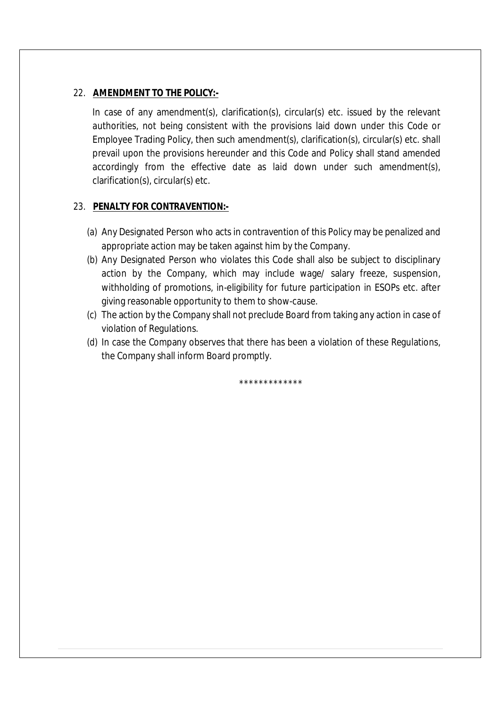#### 22. **AMENDMENT TO THE POLICY:-**

In case of any amendment(s), clarification(s), circular(s) etc. issued by the relevant authorities, not being consistent with the provisions laid down under this Code or Employee Trading Policy, then such amendment(s), clarification(s), circular(s) etc. shall prevail upon the provisions hereunder and this Code and Policy shall stand amended accordingly from the effective date as laid down under such amendment(s), clarification(s), circular(s) etc.

#### 23. **PENALTY FOR CONTRAVENTION:-**

- (a) Any Designated Person who acts in contravention of this Policy may be penalized and appropriate action may be taken against him by the Company.
- (b) Any Designated Person who violates this Code shall also be subject to disciplinary action by the Company, which may include wage/ salary freeze, suspension, withholding of promotions, in-eligibility for future participation in ESOPs etc. after giving reasonable opportunity to them to show-cause.
- (c) The action by the Company shall not preclude Board from taking any action in case of violation of Regulations.
- (d) In case the Company observes that there has been a violation of these Regulations, the Company shall inform Board promptly.

\*\*\*\*\*\*\*\*\*\*\*\*\*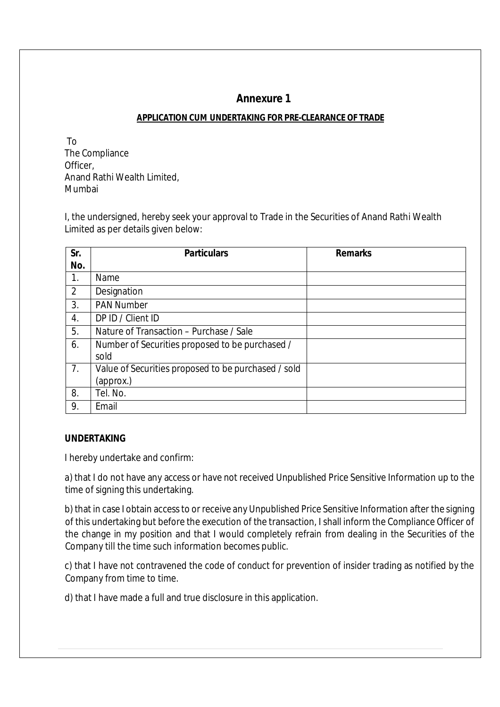# **Annexure 1**

#### **APPLICATION CUM UNDERTAKING FOR PRE-CLEARANCE OF TRADE**

 To The Compliance Officer, Anand Rathi Wealth Limited, Mumbai

I, the undersigned, hereby seek your approval to Trade in the Securities of Anand Rathi Wealth Limited as per details given below:

| Sr.            | <b>Particulars</b>                                      | <b>Remarks</b> |
|----------------|---------------------------------------------------------|----------------|
| No.            |                                                         |                |
| 1.             | Name                                                    |                |
| $\overline{2}$ | Designation                                             |                |
| 3.             | <b>PAN Number</b>                                       |                |
| 4.             | DP ID / Client ID                                       |                |
| 5.             | Nature of Transaction – Purchase / Sale                 |                |
| 6.             | Number of Securities proposed to be purchased /<br>sold |                |
| 7.             | Value of Securities proposed to be purchased / sold     |                |
|                | (approx.)                                               |                |
| 8.             | Tel. No.                                                |                |
| 9.             | Email                                                   |                |

#### **UNDERTAKING**

I hereby undertake and confirm:

a) that I do not have any access or have not received Unpublished Price Sensitive Information up to the time of signing this undertaking.

b) that in case I obtain access to or receive any Unpublished Price Sensitive Information after the signing of this undertaking but before the execution of the transaction, I shall inform the Compliance Officer of the change in my position and that I would completely refrain from dealing in the Securities of the Company till the time such information becomes public.

c) that I have not contravened the code of conduct for prevention of insider trading as notified by the Company from time to time.

d) that I have made a full and true disclosure in this application.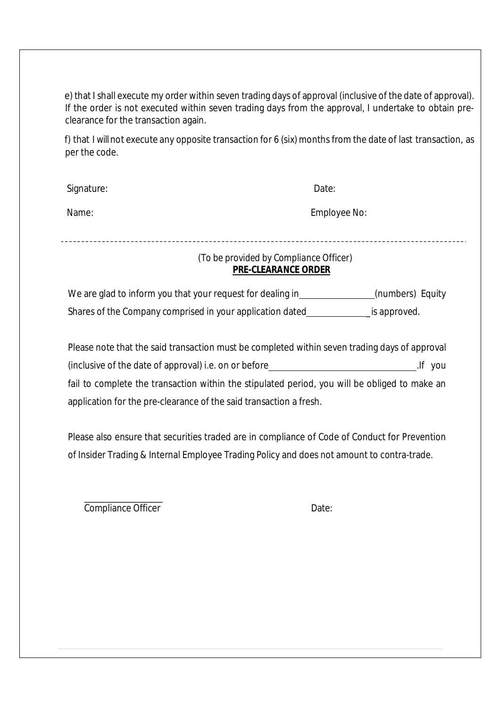e) that I shall execute my order within seven trading days of approval (inclusive of the date of approval). If the order is not executed within seven trading days from the approval, I undertake to obtain preclearance for the transaction again.

f) that I will not execute any opposite transaction for 6 (six) months from the date of last transaction, as per the code.

| Signature: | Date:        |
|------------|--------------|
| Name:      | Employee No: |

-------------------------------------

# *(To be provided by Compliance Officer)* **PRE-CLEARANCE ORDER**

We are glad to inform you that your request for dealing in\_\_\_\_\_\_\_\_\_\_\_\_\_\_(numbers) Equity Shares of the Company comprised in your application dated is approved.

| Please note that the said transaction must be completed within seven trading days of approval |         |
|-----------------------------------------------------------------------------------------------|---------|
| (inclusive of the date of approval) i.e. on or before                                         | lf you. |
| fail to complete the transaction within the stipulated period, you will be obliged to make an |         |
| application for the pre-clearance of the said transaction a fresh.                            |         |

Please also ensure that securities traded are in compliance of Code of Conduct for Prevention of Insider Trading & Internal Employee Trading Policy and does not amount to contra-trade.

Compliance Officer Date: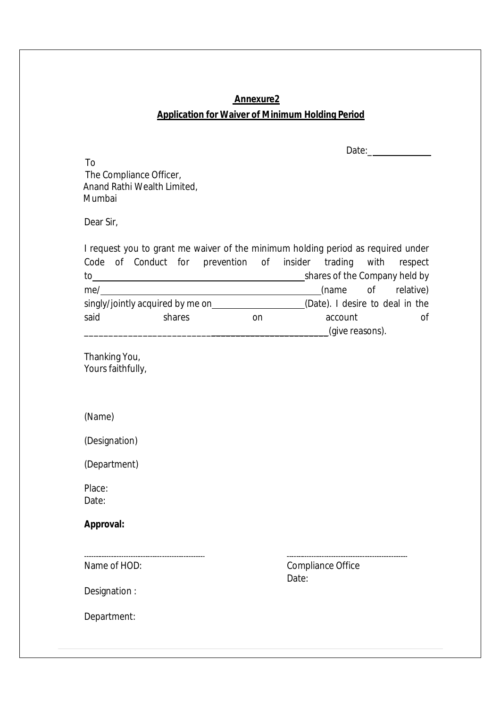# **Annexure2 Application for Waiver of Minimum Holding Period**

Date:\_\_\_\_

 To The Compliance Officer, Anand Rathi Wealth Limited, Mumbai

Dear Sir,

I request you to grant me waiver of the minimum holding period as required under Code of Conduct for prevention of insider trading with respect to shares of the Company held by me/ (name of relative) singly/jointly acquired by me on (Date). I desire to deal in the said shares on account of \_\_\_\_\_\_\_\_\_\_\_\_\_\_\_\_\_\_\_\_\_\_\_\_\_\_\_\_\_\_\_\_\_\_\_\_\_\_\_\_\_\_\_\_\_\_\_\_\_\_(give reasons).

Thanking You, Yours faithfully,

(Name)

(Designation)

(Department)

Place: Date:

**Approval:**

Name of HOD:

Compliance Office Date:

Designation :

Department: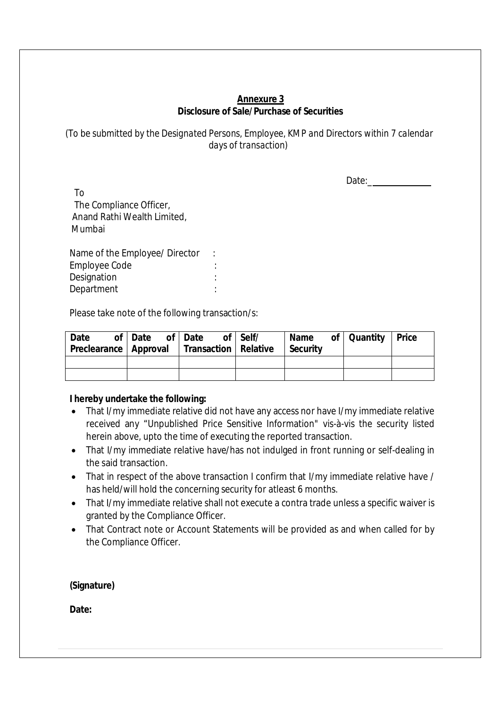#### **Annexure 3 Disclosure of Sale/Purchase of Securities**

*(To be submitted by the Designated Persons, Employee, KMP and Directors within 7 calendar days of transaction)*

Date:\_

 To The Compliance Officer, Anand Rathi Wealth Limited, Mumbai

Name of the Employee/ Director : Employee Code : Designation in the set of the set of the set of the set of the set of the set of the set of the set of the set of the set of the set of the set of the set of the set of the set of the set of the set of the set of the set o Department : the state of the state of the state of the state of the state of the state of the state of the state of the state of the state of the state of the state of the state of the state of the state of the state of t

Please take note of the following transaction/s:

| Date<br>Preclearance   Approval   Transaction   Relative | of Date of Date |  | of Self/ | Security | Name of Quantity Price |  |
|----------------------------------------------------------|-----------------|--|----------|----------|------------------------|--|
|                                                          |                 |  |          |          |                        |  |
|                                                          |                 |  |          |          |                        |  |

#### **I hereby undertake the following:**

- That I/my immediate relative did not have any access nor have I/my immediate relative received any "Unpublished Price Sensitive Information" vis-à-vis the security listed herein above, upto the time of executing the reported transaction.
- That I/my immediate relative have/has not indulged in front running or self-dealing in the said transaction.
- That in respect of the above transaction I confirm that I/my immediate relative have / has held/will hold the concerning security for atleast 6 months.
- That I/my immediate relative shall not execute a contra trade unless a specific waiver is granted by the Compliance Officer.
- That Contract note or Account Statements will be provided as and when called for by the Compliance Officer.

**(Signature)**

**Date:**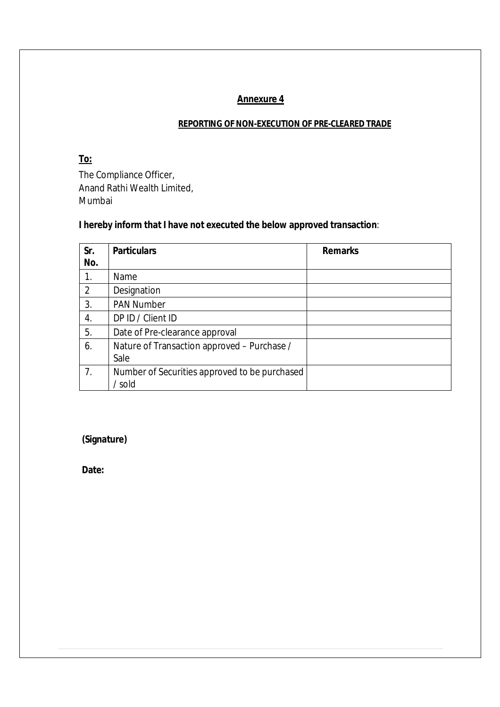#### **Annexure 4**

#### **REPORTING OF NON-EXECUTION OF PRE-CLEARED TRADE**

#### **To:**

The Compliance Officer, Anand Rathi Wealth Limited, Mumbai

# **I hereby inform that I have not executed the below approved transaction**:

| Sr.<br>No. | <b>Particulars</b>                                      | <b>Remarks</b> |
|------------|---------------------------------------------------------|----------------|
| 1.         | Name                                                    |                |
| 2          | Designation                                             |                |
| 3.         | <b>PAN Number</b>                                       |                |
| 4.         | DP ID / Client ID                                       |                |
| 5.         | Date of Pre-clearance approval                          |                |
| 6.         | Nature of Transaction approved - Purchase /<br>Sale     |                |
| 7.         | Number of Securities approved to be purchased<br>/ sold |                |

**(Signature)**

**Date:**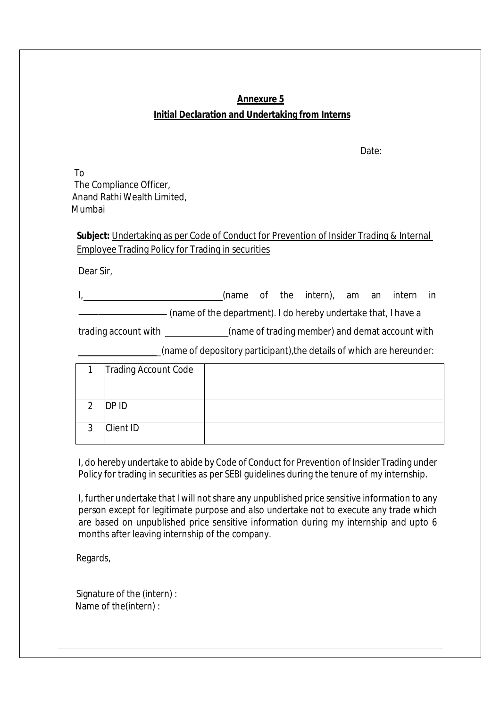# **Annexure 5 Initial Declaration and Undertaking from Interns**

Date:

 To The Compliance Officer, Anand Rathi Wealth Limited, Mumbai

**Subject:** Undertaking as per Code of Conduct for Prevention of Insider Trading & Internal Employee Trading Policy for Trading in securities

Dear Sir,

I, 1. 2008 1. (name of the intern), am an intern in

(name of the department). I do hereby undertake that, I have a

trading account with \_\_\_\_\_\_\_\_\_\_\_\_\_(name of trading member) and demat account with

\_(name of depository participant),the details of which are hereunder:

|    | <b>Trading Account Code</b> |  |
|----|-----------------------------|--|
|    |                             |  |
| ົາ | DP ID                       |  |
| ົ  | <b>Client ID</b>            |  |

I, do hereby undertake to abide by Code of Conduct for Prevention of Insider Trading under Policy for trading in securities as per SEBI guidelines during the tenure of my internship.

I, further undertake that I will not share any unpublished price sensitive information to any person except for legitimate purpose and also undertake not to execute any trade which are based on unpublished price sensitive information during my internship and upto 6 months after leaving internship of the company.

Regards,

| Signature of the (intern): |  |
|----------------------------|--|
| Name of the (intern):      |  |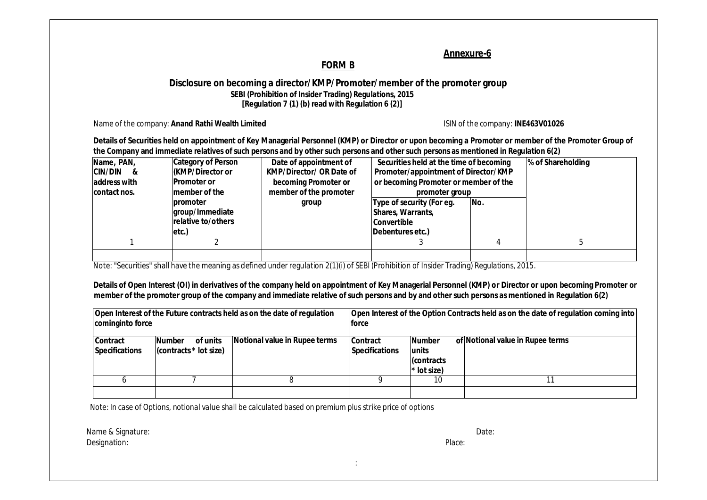#### **Annexure-6**

#### **FORM B**

#### **Disclosure on becoming a director/KMP/Promoter/member of the promoter group SEBI (Prohibition of Insider Trading) Regulations, 2015 [Regulation 7 (1) (b) read with Regulation 6 (2)]**

Name of the company: Anand Rathi Wealth Limited **ISIN** of the company: **INE463V01026** 

**Details of Securities held on appointment of Key Managerial Personnel (KMP) or Director or upon becoming a Promoter or member of the Promoter Group of the Company and immediate relatives of such persons and by other such persons and other such persons as mentioned in Regulation 6(2)**

| Name, PAN,<br><b>CIN/DIN &amp;</b><br>address with<br>contact nos. | <b>Category of Person</b><br>KMP/Director or<br><b>Promoter or</b><br>member of the<br>promoter<br>group/Immediate<br>relative to/others<br>etc.) | Date of appointment of<br><b>KMP/Director/ OR Date of</b><br>becoming Promoter or<br>member of the promoter<br>group | Securities held at the time of becoming<br>Promoter/appointment of Director/KMP<br>or becoming Promoter or member of the<br>promoter group<br>Type of security (For eg.<br>Shares, Warrants,<br><b>Convertible</b><br>Debentures etc.) | No. | % of Shareholding |
|--------------------------------------------------------------------|---------------------------------------------------------------------------------------------------------------------------------------------------|----------------------------------------------------------------------------------------------------------------------|----------------------------------------------------------------------------------------------------------------------------------------------------------------------------------------------------------------------------------------|-----|-------------------|
|                                                                    |                                                                                                                                                   |                                                                                                                      |                                                                                                                                                                                                                                        |     |                   |
|                                                                    |                                                                                                                                                   |                                                                                                                      |                                                                                                                                                                                                                                        |     |                   |
|                                                                    |                                                                                                                                                   |                                                                                                                      |                                                                                                                                                                                                                                        |     |                   |

Note: "Securities" shall have the meaning as defined under regulation 2(1)(i) of SEBI (Prohibition of Insider Trading) Regulations, 2015.

**Details of Open Interest (OI) in derivatives of the company held on appointment of Key Managerial Personnel (KMP) or Director or upon becoming Promoter or member of the promoter group of the company and immediate relative of such persons and by and other such persons as mentioned in Regulation 6(2)**

| cominginto force                         |                                                     | Open Interest of the Future contracts held as on the date of regulation | Open Interest of the Option Contracts held as on the date of regulation coming into<br><b>force</b> |                                                            |                                  |  |  |
|------------------------------------------|-----------------------------------------------------|-------------------------------------------------------------------------|-----------------------------------------------------------------------------------------------------|------------------------------------------------------------|----------------------------------|--|--|
| <b>Contract</b><br><b>Specifications</b> | <b>Number</b><br>of units<br>(contracts * lot size) | Notional value in Rupee terms                                           | Contract <br><b>Specifications</b>                                                                  | <b>Number</b><br>lunits<br><b>Contracts</b><br>* lot size) | of Notional value in Rupee terms |  |  |
|                                          |                                                     |                                                                         |                                                                                                     | 10                                                         |                                  |  |  |

Note: In case of Options, notional value shall be calculated based on premium plus strike price of options

Name & Signature: Date: Designation: Place: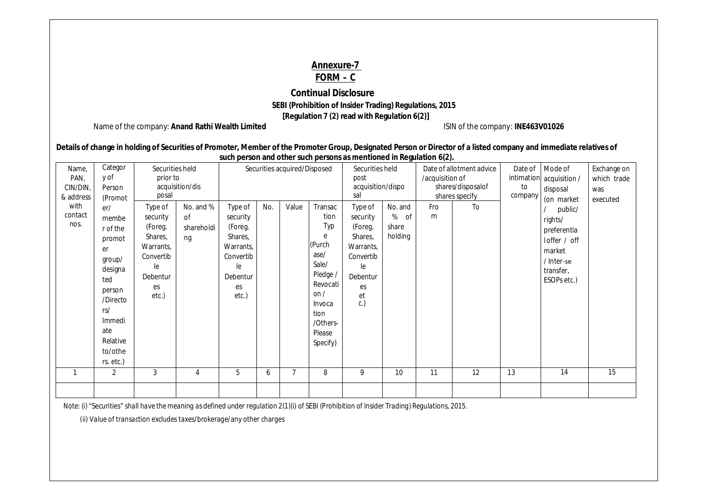#### **Annexure-7 FORM – C**

#### **Continual Disclosure SEBI (Prohibition of Insider Trading) Regulations, 2015 [Regulation 7 (2) read with Regulation 6(2)]**

Name of the company: Anand Rathi Wealth Limited **ISIN** of the company: **INE463V01026** 

| Details of change in holding of Securities of Promoter, Member of the Promoter Group, Designated Person or Director of a listed company and immediate relatives of |
|--------------------------------------------------------------------------------------------------------------------------------------------------------------------|
| such person and other such persons as mentioned in Regulation 6(2).                                                                                                |

| Categor<br>Name,<br>y of<br>PAN,                 |                                                                                                                 | Securities held<br>prior to<br>acquisition/dis                                                                |                                     | Securities acquired/Disposed                                                                         |     |       |                                                                                          | Securities held<br>post<br>acquisition/dispo                                                             |                                        | Date of allotment advice<br>/acquisition of<br>shares/disposalof |                      | Date of       | Mode of<br>intimation acquisition /                                                                                             | Exchange on<br>which trade |
|--------------------------------------------------|-----------------------------------------------------------------------------------------------------------------|---------------------------------------------------------------------------------------------------------------|-------------------------------------|------------------------------------------------------------------------------------------------------|-----|-------|------------------------------------------------------------------------------------------|----------------------------------------------------------------------------------------------------------|----------------------------------------|------------------------------------------------------------------|----------------------|---------------|---------------------------------------------------------------------------------------------------------------------------------|----------------------------|
| CIN/DIN,<br>& address<br>with<br>contact<br>nos. | Person<br>(Promot<br>er/<br>membe<br>r of the<br>promot<br>er<br>group/<br>designa<br>ted<br>person<br>/Directo | posal<br>Type of<br>security<br>(Foreg.<br>Shares,<br>Warrants,<br>Convertib<br>le<br>Debentur<br>es<br>etc.) | No. and %<br>0f<br>shareholdi<br>ng | Type of<br>security<br>(Foreg.<br>Shares,<br>Warrants,<br>Convertib<br>le<br>Debentur<br>es<br>etc.) | No. | Value | Transac<br>tion<br>Typ<br>e<br>(Purch<br>ase/<br>Sale/<br>Pledge /<br>Revocati<br>on $/$ | sal<br>Type of<br>security<br>(Foreg.<br>Shares,<br>Warrants,<br>Convertib<br>le<br>Debentur<br>es<br>et | No. and<br>%<br>0f<br>share<br>holding | Fro<br>m                                                         | shares specify<br>To | to<br>company | disposal<br>(on market<br>public/<br>rights/<br>preferentia<br>loffer / off<br>market<br>/ Inter-se<br>transfer,<br>ESOPs etc.) | was<br>executed            |
|                                                  | rs/<br>Immedi<br>ate<br>Relative<br>to/othe<br>rs. etc.)<br>$\overline{2}$                                      | 3                                                                                                             | 4                                   | 5                                                                                                    | 6   | 7     | Invoca<br>tion<br>/Others-<br>Please<br>Specify)<br>8                                    | c.)<br>9                                                                                                 | 10                                     | 11                                                               | 12                   | 13            | 14                                                                                                                              | 15                         |
|                                                  |                                                                                                                 |                                                                                                               |                                     |                                                                                                      |     |       |                                                                                          |                                                                                                          |                                        |                                                                  |                      |               |                                                                                                                                 |                            |

Note: (i) "Securities" shall have the meaning as defined under regulation 2(1)(i) of SEBI (Prohibition of Insider Trading) Regulations, 2015.

 *(ii) Value of transaction excludes taxes/brokerage/any other charges*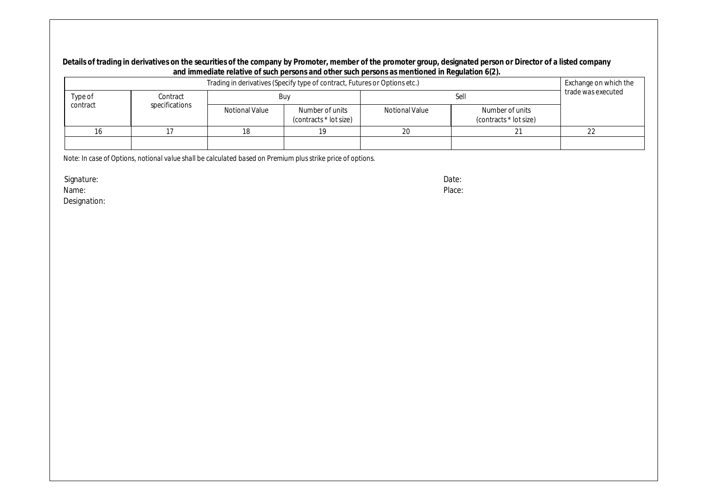#### **Details of trading in derivatives on the securities of the company by Promoter, member of the promoter group, designated person or Director of a listed company and immediate relative of such persons and other such persons as mentioned in Regulation 6(2).**

| Trading in derivatives (Specify type of contract, Futures or Options etc.) |                |                |                                           |                |                                           |  |  |
|----------------------------------------------------------------------------|----------------|----------------|-------------------------------------------|----------------|-------------------------------------------|--|--|
| Type of                                                                    | Contract       |                | Buy                                       |                | trade was executed                        |  |  |
| contract                                                                   | specifications | Notional Value | Number of units<br>(contracts * lot size) | Notional Value | Number of units<br>(contracts * lot size) |  |  |
|                                                                            |                |                |                                           | 20             |                                           |  |  |
|                                                                            |                |                |                                           |                |                                           |  |  |

*Note: In case of Options, notional value shall be calculated based on Premium plusstrike price of options.*

Signature: Date:

Name: Place:

Designation: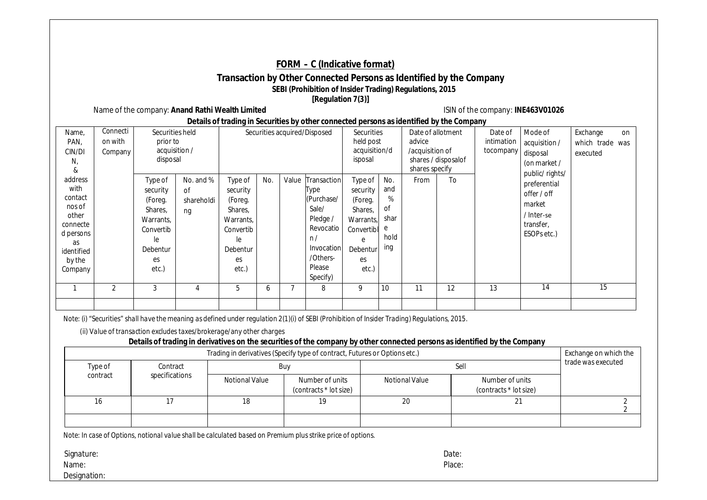#### **FORM – C (Indicative format)**

#### **Transaction by Other Connected Persons as Identified by the Company SEBI (Prohibition of Insider Trading) Regulations, 2015 [Regulation 7(3)]**

Name of the company: Anand Rathi Wealth Limited **ISIN** of the company: **INE463V01026** 

**Details of trading in Securities by other connected persons as identified by the Company**

| Name,<br>PAN,<br>CIN/DI<br>N,<br>&                                                                              | Connecti<br>on with<br>Company | Securities held<br>prior to<br>acquisition /<br>disposal                                             |                                     |                                                                                                             |     |       | Securities acquired/Disposed                                                                                              | Securities<br>held post<br>acquisition/d<br>isposal                                                  |                                                              | Date of allotment<br>advice<br>/acquisition of<br>shares specify | shares / disposalof | Date of<br>intimation<br>tocompany | Mode of<br>acquisition /<br>disposal<br>(on market /                                                          | Exchange<br>which trade was<br>executed | on |
|-----------------------------------------------------------------------------------------------------------------|--------------------------------|------------------------------------------------------------------------------------------------------|-------------------------------------|-------------------------------------------------------------------------------------------------------------|-----|-------|---------------------------------------------------------------------------------------------------------------------------|------------------------------------------------------------------------------------------------------|--------------------------------------------------------------|------------------------------------------------------------------|---------------------|------------------------------------|---------------------------------------------------------------------------------------------------------------|-----------------------------------------|----|
| address<br>with<br>contact<br>nos of<br>other<br>connecte<br>d persons<br>as<br>identified<br>by the<br>Company |                                | Type of<br>security<br>(Foreg.<br>Shares,<br>Warrants,<br>Convertib<br>le<br>Debentur<br>es<br>etc.) | No. and %<br>0f<br>shareholdi<br>ng | Type of<br>security<br>(Foreg.<br>Shares,<br>Warrants.<br>Convertib<br>le<br><b>Debentur</b><br>es<br>etc.) | No. | Value | Transaction<br>Type<br>(Purchase/<br>Sale/<br>Pledge /<br>Revocatio<br>n/<br>Invocation<br>/Others-<br>Please<br>Specify) | Type of<br>security<br>(Foreg.<br>Shares,<br>Warrants,<br>Convertibl<br>e<br>Debentur<br>es<br>etc.) | No.<br>and<br>%<br><sub>of</sub><br>shar<br>e<br>hold<br>ing | From                                                             | To                  |                                    | public/rights/<br>preferential<br>offer / off<br>market<br>/ Inter-se<br>transfer,<br>ESOP <sub>s</sub> etc.) |                                         |    |
|                                                                                                                 | 2                              | 3                                                                                                    |                                     | 5                                                                                                           | O   |       | 8                                                                                                                         | 9                                                                                                    | 10                                                           | 11                                                               | 12                  | 13                                 | 14                                                                                                            | 15                                      |    |
|                                                                                                                 |                                |                                                                                                      |                                     |                                                                                                             |     |       |                                                                                                                           |                                                                                                      |                                                              |                                                                  |                     |                                    |                                                                                                               |                                         |    |

Note: (i) "Securities" shall have the meaning as defined under regulation 2(1)(i) of SEBI (Prohibition of Insider Trading) Regulations, 2015.

 *(ii) Value of transaction excludes taxes/brokerage/any other charges*

#### **Details of trading in derivatives on the securities of the company by other connected persons as identified by the Company**

| Trading in derivatives (Specify type of contract, Futures or Options etc.) |                |                |                                           |                |                                           |  |
|----------------------------------------------------------------------------|----------------|----------------|-------------------------------------------|----------------|-------------------------------------------|--|
| Type of                                                                    | Contract       |                | Buy                                       |                | trade was executed                        |  |
| contract                                                                   | specifications | Notional Value | Number of units<br>(contracts * lot size) | Notional Value | Number of units<br>(contracts * lot size) |  |
| 16                                                                         |                | 18             |                                           | 20             | ∠                                         |  |
|                                                                            |                |                |                                           |                |                                           |  |

*Note: In case of Options, notional value shall be calculated based on Premium plusstrike price of options.*

Signature: Date:

Name: Place:

Designation: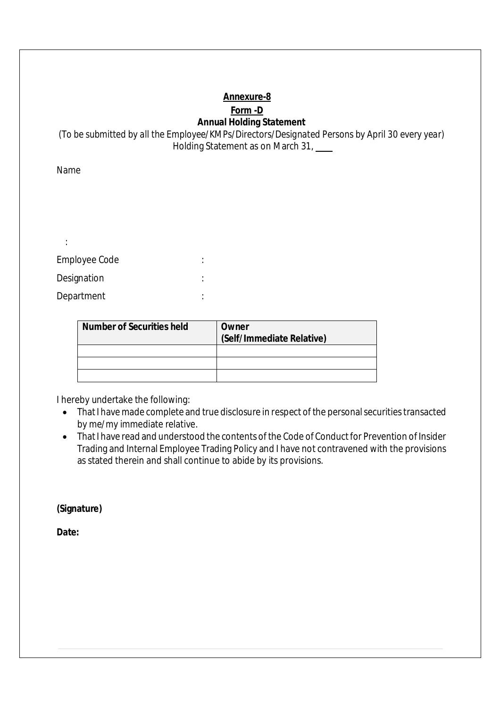# **Annexure-8**

#### **Form -D Annual Holding Statement**

*(To be submitted by all the Employee/KMPs/Directors/Designated Persons by April 30 every year)* Holding Statement as on March 31,

Name

:

| Employee Code |  |
|---------------|--|
| Designation   |  |
| Department    |  |

| <b>Number of Securities held</b> | Owner<br>(Self/Immediate Relative) |
|----------------------------------|------------------------------------|
|                                  |                                    |
|                                  |                                    |
|                                  |                                    |

I hereby undertake the following:

- That I have made complete and true disclosure in respect of the personal securities transacted by me/my immediate relative.
- That I have read and understood the contents of the Code of Conduct for Prevention of Insider Trading and Internal Employee Trading Policy and I have not contravened with the provisions as stated therein and shall continue to abide by its provisions.

**(Signature)**

**Date:**